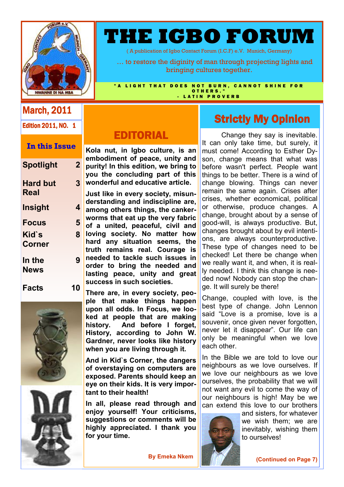

# **THE IGBO FORUM**

( A publication of Igbo Contact Forum (I.C.F) e.V. Munich, Germany)

 … to restore the diginity of man through projecting lights and bringing cultures together.

LIGHT THAT DOES NOT BURN, CANNOT SHINE FOR O THERS. LATIN PROVERB

### **March, 2011**

**Edition 2011, NO. 1** 

| <b>Spotlight</b>        | 2 |
|-------------------------|---|
| <b>Hard but</b><br>Real | 3 |
| Insight                 | 4 |
| <b>Focus</b>            | 5 |
| Kid`s<br>Corner         | 8 |
| In the<br><b>News</b>   | g |

**Facts 10** 





## EDITORIAL

**3 In this Issue Kola nut, in Igbo culture, is an embodiment of peace, unity and purity! In this edition, we bring to you the concluding part of this wonderful and educative article.** 

> **8 9 Just like in every society, misunderstanding and indiscipline are, among others things, the cankerworms that eat up the very fabric of a united, peaceful, civil and loving society. No matter how hard any situation seems, the truth remains real. Courage is needed to tackle such issues in order to bring the needed and lasting peace, unity and great success in such societies.**

**There are, in every society, people that make things happen upon all odds. In Focus, we looked at people that are making history. And before I forget, History, according to John W. Gardner, never looks like history when you are living through it.** 

**And in Kid`s Corner, the dangers of overstaying on computers are exposed. Parents should keep an eye on their kids. It is very important to their health!** 

**In all, please read through and enjoy yourself! Your criticisms, suggestions or comments will be highly appreciated. I thank you for your time.** 

 **By Emeka Nkem** 

# **Strictly My Opinion**

 Change they say is inevitable. It can only take time, but surely, it must come! According to Esther Dyson, change means that what was before wasn't perfect. People want things to be better. There is a wind of change blowing. Things can never remain the same again. Crises after crises, whether economical, political or otherwise, produce changes. A change, brought about by a sense of good-will, is always productive. But, changes brought about by evil intentions, are always counterproductive. These type of changes need to be checked! Let there be change when we really want it, and when, it is really needed. I think this change is needed now! Nobody can stop the change. It will surely be there!

Change, coupled with love, is the best type of change. John Lennon said "Love is a promise, love is a souvenir, once given never forgotten, never let it disappear". Our life can only be meaningful when we love each other.

In the Bible we are told to love our neighbours as we love ourselves. If we love our neighbours as we love ourselves, the probability that we will not want any evil to come the way of our neighbours is high! May be we can extend this love to our brothers



and sisters, for whatever we wish them; we are inevitably, wishing them to ourselves!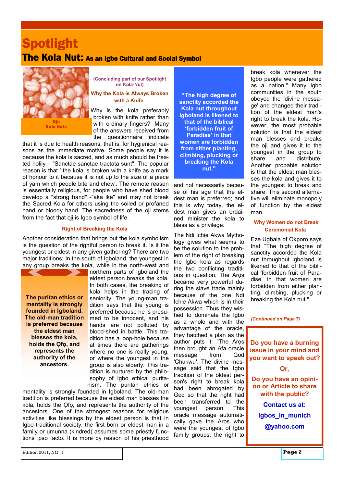# **Spotlight**

### The Kola Nut: As an Igbo Cultural and Social Symbol



**(Concluding part of our Spotlight on Kola-Nut)** 

#### **Why the Kola is Always Broken with a Knife**

Why is the kola preferably broken with knife rather than with ordinary fingers? Many of the answers received from the questionnaire indicate

that it is due to health reasons, that is, for hygienical reasons as the immediate motive. Some people say it is because the kola is sacred, and as much should be treated holily – "Sanctae sanctae tractata sunt". The popular reason is that ' the kola is broken with a knife as a mark of honour to it because it is not up to the size of a piece of yam which people bite and chew'. The remote reason is essentially religious, for people who have shed blood develop a "strong hand" -"aka ike" and may not break the Sacred Kola for others using the soiled or profaned hand or bloody hand. The sacredness of the ọjị stems from the fact that ọjị is Igbo symbol of life.

#### **Right of Breaking the Kola**

Another consideration that brings out the kola symbolism is the question of the rightful person to break it. Is it the youngest or eldest in any given gathering? There are two major traditions: In the south of Igboland, the youngest in any group breaks the kola, while in the north-west and

**The puritan ethics or mentality is strongly founded in Igboland. The old-man tradition is preferred because the eldest man blesses the kola, holds the Ọfọ, and represents the authority of the ancestors.** 

northern parts of Igboland the eldest person breaks the kola. In both cases, the breaking of kola helps in the tracing of seniority. The young-man tradition says that the young is preferred because he is presumed to be innocent, and his hands are not polluted by blood-shed in battle. This tradition has a loop-hole because at times there are gatherings where no one is really young. or where the youngest in the group is also elderly. This tradition is nurtured by the philosophy of Igbo ethical puritanism. The puritan ethics or

mentality is strongly founded in Igboland. The old-man tradition is preferred because the eldest man blesses the kola, holds the Ọfọ, and represents the authority of the ancestors. One of the strongest reasons for religious activities like blessings by the eldest person is that in Igbo traditional society, the first born or eldest man in a family or ụmụnna (kindred) assumes some priestly functions ipso facto. It is more by reason of his priesthood

**"The high degree of sanctity accorded the Kola nut throughout lgboland is likened to that of the biblical 'forbidden fruit of Paradise' in that women are forbidden from either planting, climbing, plucking or breaking the Kola nut."** 

and not necessarily because of his age that the eldest man is preferred; and this is why today, the eldest man gives an ordained minister the kola to bless as a privilege.

The Ndi Ichie Akwa Mythology gives what seems to be the solution to the problem of the right of breaking the lgbo kola as regards the two conflicting traditions in question. The Arọs became very powerful during the slave trade mainly because of the one Ndi Ichie Akwa which is in their possession. Thus they wished to dominate the lgbo as a whole and with the advantage of the oracle, they hatched a plan as the author puts it: "The Arọs then brought an Afa oracle message from God 'Chukwu'. The divine message said that the Igbo tradition of the oldest person's right to break kola had been abrogated by God so that the right had been transferred to the youngest person. This oracle message automatically gave the Arọs who were the youngest of Igbo family groups, the right to

break kola whenever the Igbo people were gathered as a nation." Many Igbo communities in the south obeyed the 'divine message' and changed their tradition of the eldest man's right to break the kola. However, the most probable solution is that the eldest man blesses and breaks the ọjị and gives it to the youngest in the group to share and distribute. Another probable solution is that the eldest man blesses the kola and gives it to the youngest to break and share. This second alternative will eliminate monopoly of function by the eldest man.

### **Why Women do not Break Ceremonial Kola**

Eze Ugbala of Okporo says that "The high degree of sanctity accorded the Kola nut throughout lgboland is likened to that of the biblical 'forbidden fruit of Paradise' in that women are forbidden from either planting, climbing, plucking or breaking the Kola nut."

*(Continued on Page 7)* 

**Do you have a burning issue in your mind and you want to speak out? Or, Do you have an opinion or Article to share with the public? Contact us at: igbos\_in\_munich @yahoo.com**  Edition 2011, NO. 1 **Page 2**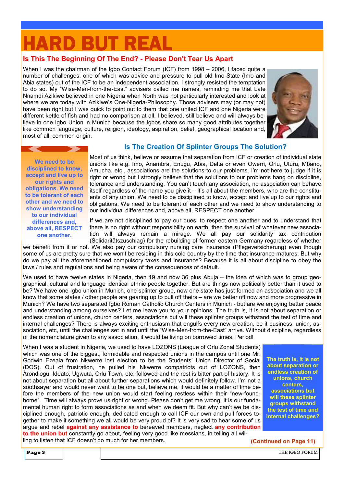# DN RIIT DE

### **Is This The Beginning Of The End? - Please Don't Tear Us Apart**

When I was the chairman of the Igbo Contact Forum (ICF) from 1998 – 2006, I faced quite a number of challenges, one of which was advice and pressure to pull old Imo State (Imo and Abia states) out of the ICF to be an independent association. I strongly resisted the temptation to do so. My "Wise-Men-from-the-East" advisers called me names, reminding me that Late Nnamdi Azikiwe believed in one Nigeria when North was not particularly interested and look at where we are today with Azikiwe's One-Nigeria-Philosophy. Those advisers may (or may not) have been right but I was quick to point out to them that one united ICF and one Nigeria were different kettle of fish and had no comparison at all. I believed, still believe and will always believe in one Igbo Union in Munich because the Igbos share so many good attributes together like common language, culture, religion, ideology, aspiration, belief, geographical location and, most of all, common origin.



**We need to be disciplined to know, accept and live up to our rights and obligations. We need to be tolerant of each other and we need to show understanding to our individual differences and, above all, RESPECT one another.** 

**The Second Second** 

### **Is The Creation Of Splinter Groups The Solution?**

Most of us think, believe or assume that separation from ICF or creation of individual state unions like e.g. Imo, Anambra, Enugu, Abia, Delta or even Owerri, Orlu, Uturu, Mbano, Amucha, etc., associations are the solutions to our problems. I'm not here to judge if it is right or wrong but I strongly believe that the solutions to our problems hang on discipline, tolerance and understanding. You can't touch any association, no association can behave itself regardless of the name you give  $it - it's$  all about the members, who are the constituents of any union. We need to be disciplined to know, accept and live up to our rights and obligations. We need to be tolerant of each other and we need to show understanding to our individual differences and, above all, RESPECT one another.

If we are not disciplined to pay our dues, to respect one another and to understand that there is no right without responsibility on earth, then the survival of whatever new association will always remain a mirage. We all pay our solidarity tax contribution (Solidaritätszuschlag) for the rebuilding of former eastern Germany regardless of whether

we benefit from it or not. We also pay our compulsory nursing care insurance (Pflegeversicherung) even though some of us are pretty sure that we won't be residing in this cold country by the time that insurance matures. But why do we pay all the aforementioned compulsory taxes and insurance? Because it is all about discipline to obey the laws / rules and regulations and being aware of the consequences of default.

We used to have twelve states in Nigeria, then 19 and now 36 plus Abuja – the idea of which was to group geographical, cultural and language identical ethnic people together. But are things now politically better than it used to be? We have one Igbo union in Munich, one splinter group, now one state has just formed an association and we all know that some states / other people are gearing up to pull off theirs – are we better off now and more progressive in Munich? We have two separated Igbo Roman Catholic Church Centers in Munich - but are we enjoying better peace and understanding among ourselves? Let me leave you to your opinions. The truth is, it is not about separation or endless creation of unions, church centers, associations but will these splinter groups withstand the test of time and internal challenges? There is always exciting enthusiasm that engulfs every new creation, be it business, union, association, etc, until the challenges set in and until the "Wise-Men-from-the-East" arrive. Without discipline, regardless of the nomenclature given to any association, it would be living on borrowed times. Period!

When I was a student in Nigeria, we used to have LOZONS (League of Orlu Zonal Students) which was one of the biggest, formidable and respected unions in the campus until one Mr. Godwin Ezeala from Nkwerre lost election to be the Students' Union Director of Social (DOS). Out of frustration, he pulled his Nkwerre compatriots out of LOZONS, then Arondiogu, Ideato, Ugwuta, Orlu Town, etc, followed and the rest is bitter part of history. It is not about separation but all about further separations which would definitely follow. I'm not a soothsayer and would never want to be one but, believe me, it would be a matter of time before the members of the new union would start feeling restless within their "new-foundhome". Time will always prove us right or wrong. Please don't get me wrong, it is our fundamental human right to form associations as and when we deem fit. But why can't we be disciplined enough, patriotic enough, dedicated enough to call ICF our own and pull forces together to make it something we all would be very proud of? It is very sad to hear some of us argue and rebel **against any assistance to** bereaved members, neglect **any contribution to the union but** constantly go about, feeling very good like messiahs, in telling all willing to listen that ICF doesn't do much for her members.

**The truth is, it is not about separation or endless creation of unions, church centers, associations but will these splinter groups withstand the test of time and internal challenges?** 

**(Continued on Page 11)**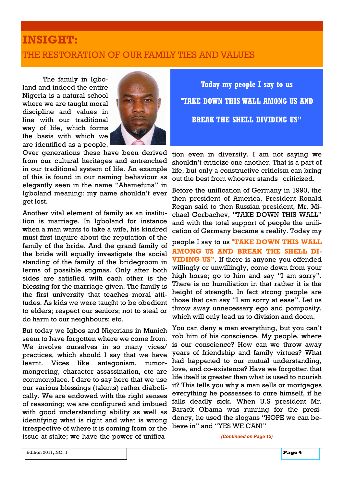# **INSIGHT:**  THE RESTORATION OF OUR FAMILY TIES AND VALUES

The family in Igboland and indeed the entire Nigeria is a natural school where we are taught moral discipline and values in line with our traditional way of life, which forms the basis with which we are identified as a people.



Over generations these have been derived from our cultural heritages and entrenched in our traditional system of life. An example of this is found in our naming behaviour as elegantly seen in the name "Ahamefuna" in Igboland meaning: my name shouldn't ever get lost.

Another vital element of family as an institution is marriage. In Igboland for instance when a man wants to take a wife, his kindred must first inquire about the reputation of the family of the bride. And the grand family of the bride will equally investigate the social standing of the family of the bridegroom in terms of possible stigmas. Only after both sides are satisfied with each other is the blessing for the marriage given. The family is the first university that teaches moral attitudes. As kids we were taught to be obedient to elders; respect our seniors; not to steal or do harm to our neighbours; etc.

But today we Igbos and Nigerians in Munich seem to have forgotten where we come from. We involve ourselves in so many vices/ practices, which should I say that we have learnt. Vices like antagonism, rumormongering, character assassination, etc are commonplace. I dare to say here that we use our various blessings (talents) rather diabolically. We are endowed with the right senses of reasoning; we are configured and imbued with good understanding ability as well as identifying what is right and what is wrong irrespective of where it is coming from or the issue at stake; we have the power of unifica-

**Today my people I say to us**  "**TAKE DOWN THIS WALL AMONG US AND BREAK THE SHELL DIVIDING US"**

tion even in diversity. I am not saying we shouldn't criticize one another. That is a part of life, but only a constructive criticism can bring out the best from whoever stands criticized.

Before the unification of Germany in 1990, the then president of America, President Ronald Regan said to then Russian president, Mr. Michael Gorbachev, "TAKE DOWN THIS WALL" and with the total support of people the unification of Germany became a reality. Today my

people I say to us "**TAKE DOWN THIS WALL AMONG US AND BREAK THE SHELL DI-VIDING US"**. If there is anyone you offended willingly or unwillingly, come down from your high horse; go to him and say "I am sorry". There is no humiliation in that rather it is the height of strength. In fact strong people are those that can say "I am sorry at ease". Let us throw away unnecessary ego and pomposity, which will only lead us to division and doom.

You can deny a man everything, but you can't rob him of his conscience. My people, where is our conscience? How can we throw away years of friendship and family virtues? What had happened to our mutual understanding, love, and co-existence? Have we forgotten that life itself is greater than what is used to nourish it? This tells you why a man sells or mortgages everything he possesses to cure himself, if he falls deadly sick. When U.S president Mr. Barack Obama was running for the presidency, he used the slogans "HOPE we can believe in" and "YES WE CAN!"

*(Continued on Page 12)* 

Edition 2011, NO. 1 **Page 4**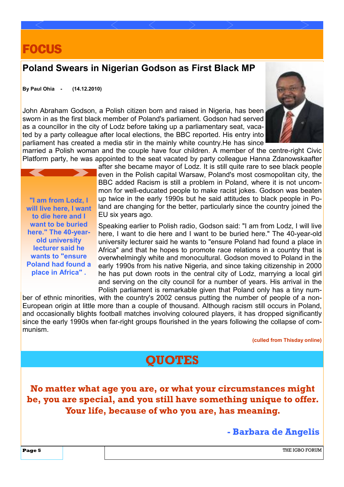

### **Poland Swears in Nigerian Godson as First Black MP**

**By Paul Ohia - (14.12.2010)** 

John Abraham Godson, a Polish citizen born and raised in Nigeria, has been sworn in as the first black member of Poland's parliament. Godson had served as a councillor in the city of Lodz before taking up a parliamentary seat, vacated by a party colleague after local elections, the BBC reported. His entry into parliament has created a media stir in the mainly white country.He has since



married a Polish woman and the couple have four children. A member of the centre-right Civic Platform party, he was appointed to the seat vacated by party colleague Hanna Zdanowskaafter

**"I am from Lodz, I will live here, I want to die here and I want to be buried here." The 40-yearold university lecturer said he wants to "ensure Poland had found a place in Africa" .** 

after she became mayor of Lodz. It is still quite rare to see black people even in the Polish capital Warsaw, Poland's most cosmopolitan city, the BBC added Racism is still a problem in Poland, where it is not uncommon for well-educated people to make racist jokes. Godson was beaten up twice in the early 1990s but he said attitudes to black people in Poland are changing for the better, particularly since the country joined the EU six years ago.

Speaking earlier to Polish radio, Godson said: "I am from Lodz, I will live here, I want to die here and I want to be buried here." The 40-year-old university lecturer said he wants to "ensure Poland had found a place in Africa" and that he hopes to promote race relations in a country that is overwhelmingly white and monocultural. Godson moved to Poland in the early 1990s from his native Nigeria, and since taking citizenship in 2000 he has put down roots in the central city of Lodz, marrying a local girl and serving on the city council for a number of years. His arrival in the Polish parliament is remarkable given that Poland only has a tiny num-

ber of ethnic minorities, with the country's 2002 census putting the number of people of a non-European origin at little more than a couple of thousand. Although racism still occurs in Poland, and occasionally blights football matches involving coloured players, it has dropped significantly since the early 1990s when far-right groups flourished in the years following the collapse of communism.

**(culled from Thisday online)** 

## **QUOTES**

**No matter what age you are, or what your circumstances might be, you are special, and you still have something unique to offer. Your life, because of who you are, has meaning.** 

**- Barbara de Angelis** 

THE IGBO FORUM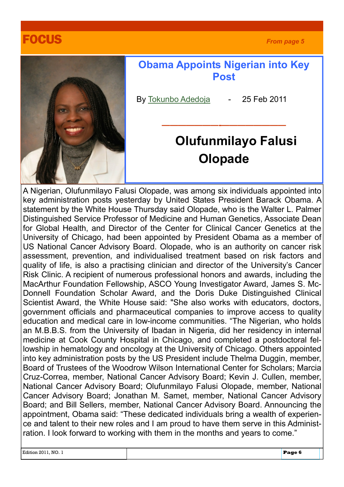FOCUS*From page 5*



## **Obama Appoints Nigerian into Key Post**

**———————-————————** 

By Tokunbo Adedoja - 25 Feb 2011

# **Olufunmilayo Falusi Olopade**

A Nigerian, Olufunmilayo Falusi Olopade, was among six individuals appointed into key administration posts yesterday by United States President Barack Obama. A statement by the White House Thursday said Olopade, who is the Walter L. Palmer Distinguished Service Professor of Medicine and Human Genetics, Associate Dean for Global Health, and Director of the Center for Clinical Cancer Genetics at the University of Chicago, had been appointed by President Obama as a member of US National Cancer Advisory Board. Olopade, who is an authority on cancer risk assessment, prevention, and individualised treatment based on risk factors and quality of life, is also a practising clinician and director of the University's Cancer Risk Clinic. A recipient of numerous professional honors and awards, including the MacArthur Foundation Fellowship, ASCO Young Investigator Award, James S. Mc-Donnell Foundation Scholar Award, and the Doris Duke Distinguished Clinical Scientist Award, the White House said: "She also works with educators, doctors, government officials and pharmaceutical companies to improve access to quality education and medical care in low-income communities. "The Nigerian, who holds an M.B.B.S. from the University of Ibadan in Nigeria, did her residency in internal medicine at Cook County Hospital in Chicago, and completed a postdoctoral fellowship in hematology and oncology at the University of Chicago. Others appointed into key administration posts by the US President include Thelma Duggin, member, Board of Trustees of the Woodrow Wilson International Center for Scholars; Marcia Cruz-Correa, member, National Cancer Advisory Board; Kevin J. Cullen, member, National Cancer Advisory Board; Olufunmilayo Falusi Olopade, member, National Cancer Advisory Board; Jonathan M. Samet, member, National Cancer Advisory Board; and Bill Sellers, member, National Cancer Advisory Board. Announcing the appointment, Obama said: "These dedicated individuals bring a wealth of experience and talent to their new roles and I am proud to have them serve in this Administration. I look forward to working with them in the months and years to come."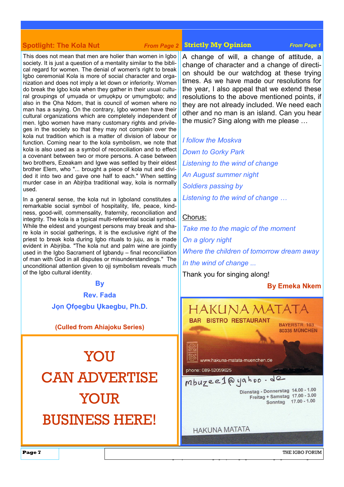### **Spotlight: The Kola Nut** *From Page 2*

### **Strictly My Opinion** *From Page 1*

This does not mean that men are holier than women in Igbo society. It is just a question of a mentality similar to the biblical regard for women. The denial of women's right to break Igbo ceremonial Kola is more of social character and organization and does not imply a let down or inferiority. Women do break the Igbo kola when they gather in their usual cultural groupings of ụmụada or ụmụọkpụ or ụmụmgbọtọ; and also in the Ọha Ndom, that is council of women where no man has a saying. On the contrary, Igbo women have their cultural organizations which are completely independent of men. Igbo women have many customary rights and privileges in the society so that they may not complain over the kola nut tradition which is a matter of division of labour or function. Coming near to the kola symbolism, we note that kola is also used as a symbol of reconciliation and to effect a covenant between two or more persons. A case between two brothers, Ezeakam and Igwe was settled by their eldest brother Elem, who "... brought a piece of kola nut and divided it into two and gave one half to each." When settling murder case in an Abiriba traditional way, kola is normally used.

In a general sense, the kola nut in Igboland constitutes a remarkable social symbol of hospitality, life, peace, kindness, good-will, commensality, fraternity, reconciliation and integrity. The kola is a typical multi-referential social symbol. While the eldest and youngest persons may break and share kola in social gatherings, it is the exclusive right of the priest to break kola during Igbo rituals to juju, as is made evident in Abiriiba. "The kola nut and palm wine are jointly used in the Igbo Sacrament of Igbandụ – final reconciliation of man with God in all disputes or misunderstandings." The unconditional attention given to oji symbolism reveals much of the Igbo cultural identity.

### **By**

**Rev. Fada Jọn Ọfọegbu Ụkaegbu, Ph.D.**

**(Culled from Ahiajoku Series)** 

YOU CAN ADVERTISE YOUR BUSINESS HERE!

A change of will, a change of attitude, a change of character and a change of direction should be our watchdog at these trying times. As we have made our resolutions for the year, I also appeal that we extend these resolutions to the above mentioned points, if they are not already included. We need each other and no man is an island. Can you hear the music? Sing along with me please …

*I follow the Moskva Down to Gorky Park Listening to the wind of change An August summer night Soldiers passing by Listening to the wind of change …* 

### Chorus:

*Take me to the magic of the moment On a glory night Where the children of tomorrow dream away In the wind of change ...* 

Thank you for singing along!

… to restore the diginity of man through projecting lights and bringing cultures together.

**By Emeka Nkem** 

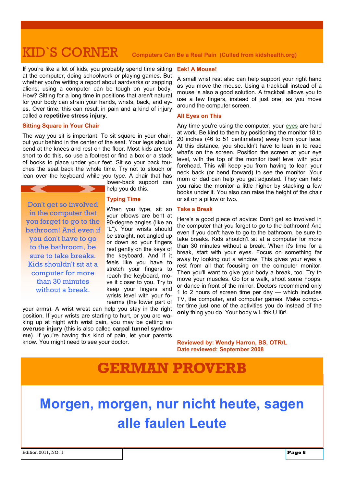# KID`S CORNER **Computers Can Be a Real Pain (Culled from kidshealth.org)**

**If** you're like a lot of kids, you probably spend time sitting at the computer, doing schoolwork or playing games. But whether you're writing a report about aardvarks or zapping aliens, using a computer can be tough on your body. How? Sitting for a long time in positions that aren't natural for your body can strain your hands, wrists, back, and eyes. Over time, this can result in pain and a kind of injury called a **repetitive stress injury**.

### **Sitting Square in Your Chair**

The way you sit is important. To sit square in your chair, put your behind in the center of the seat. Your legs should bend at the knees and rest on the floor. Most kids are too short to do this, so use a footrest or find a box or a stack of books to place under your feet. Sit so your back touches the seat back the whole time. Try not to slouch or lean over the keyboard while you type. A chair that has

Don't get so involved in the computer that you forget to go to the bathroom! And even if you don't have to go to the bathroom, be sure to take breaks. Kids shouldn't sit at a computer for more than 30 minutes without a break.

lower-back support can help you do this.

#### **Typing Time**

When you type, sit so your elbows are bent at 90-degree angles (like an "L"). Your wrists should be straight, not angled up or down so your fingers rest gently on the keys of the keyboard. And if it feels like you have to stretch your fingers to reach the keyboard, move it closer to you. Try to keep your fingers and wrists level with your forearms (the lower part of

your arms). A wrist wrest can help you stay in the right position. If your wrists are starting to hurt, or you are waking up at night with wrist pain, you may be getting an **overuse injury** (this is also called **carpal tunnel syndrome**). If you're having this kind of pain, let your parents know. You might need to see your doctor.

#### **Eek! A Mouse!**

A small wrist rest also can help support your right hand as you move the mouse. Using a trackball instead of a mouse is also a good solution. A trackball allows you to use a few fingers, instead of just one, as you move around the computer screen.

#### **All Eyes on This**

Any time you're using the computer, your eyes are hard at work. Be kind to them by positioning the monitor 18 to 20 inches (46 to 51 centimeters) away from your face. At this distance, you shouldn't have to lean in to read what's on the screen. Position the screen at your eye level, with the top of the monitor itself level with your forehead. This will keep you from having to lean your neck back (or bend forward) to see the monitor. Your mom or dad can help you get adjusted. They can help you raise the monitor a little higher by stacking a few books under it. You also can raise the height of the chair or sit on a pillow or two.

#### **Take a Break**

Here's a good piece of advice: Don't get so involved in the computer that you forget to go to the bathroom! And even if you don't have to go to the bathroom, be sure to take breaks. Kids shouldn't sit at a computer for more than 30 minutes without a break. When it's time for a break, start with your eyes. Focus on something far away by looking out a window. This gives your eyes a rest from all that focusing on the computer monitor. Then you'll want to give your body a break, too. Try to move your muscles. Go for a walk, shoot some hoops, or dance in front of the mirror. Doctors recommend only 1 to 2 hours of screen time per day — which includes TV, the computer, and computer games. Make computer time just one of the activities you do instead of the **only** thing you do. Your body wiL thk U l8r!

**Reviewed by: Wendy Harron, BS, OTR/L Date reviewed: September 2008** 

# **GERMAN PROVERB**

# **Morgen, morgen, nur nicht heute, sagen alle faulen Leute**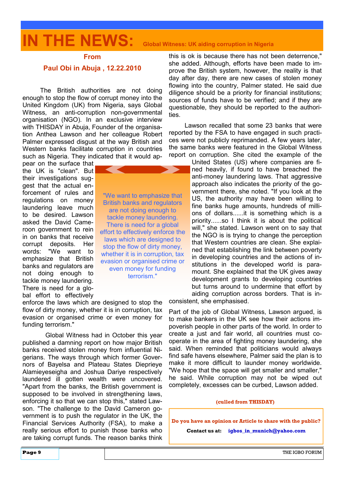# **IN THE NEWS: Global Witness: UK aiding corruption in Nigeria**

### **From**

### **Paul Obi in Abuja , 12.22.2010**

 The British authorities are not doing enough to stop the flow of corrupt money into the United Kingdom (UK) from Nigeria, says Global Witness, an anti-corruption non-governmental organisation (NGO). In an exclusive interview with THISDAY in Abuja, Founder of the organisation Anthea Lawson and her colleague Robert Palmer expressed disgust at the way British and Western banks facilitate corruption in countries such as Nigeria. They indicated that it would ap-

pear on the surface that the UK is "clean". But their investigations suggest that the actual enforcement of rules and regulations on money laundering leave much to be desired. Lawson asked the David Cameroon government to rein in on banks that receive corrupt deposits. Her words: "We want to emphasize that British banks and regulators are not doing enough to tackle money laundering. There is need for a global effort to effectively

"We want to emphasize that British banks and regulators are not doing enough to tackle money laundering. There is need for a global effort to effectively enforce the laws which are designed to stop the flow of dirty money, whether it is in corruption, tax evasion or organised crime or even money for funding terrorism."

enforce the laws which are designed to stop the flow of dirty money, whether it is in corruption, tax evasion or organised crime or even money for funding terrorism."

 Global Witness had in October this year published a damning report on how major British banks received stolen money from influential Nigerians. The ways through which former Governors of Bayelsa and Plateau States Dieprieye Alamieyeseigha and Joshua Dariye respectively laundered ill gotten wealth were uncovered. "Apart from the banks, the British government is supposed to be involved in strengthening laws, enforcing it so that we can stop this," stated Lawson. "The challenge to the David Cameron government is to push the regulator in the UK, the Financial Services Authority (FSA), to make a really serious effort to punish those banks who are taking corrupt funds. The reason banks think

this is ok is because there has not been deterrence," she added. Although, efforts have been made to improve the British system, however, the reality is that day after day, there are new cases of stolen money flowing into the country, Palmer stated. He said due diligence should be a priority for financial institutions; sources of funds have to be verified; and if they are questionable, they should be reported to the authorities.

 Lawson recalled that some 23 banks that were reported by the FSA to have engaged in such practices were not publicly reprimanded. A few years later, the same banks were featured in the Global Witness report on corruption. She cited the example of the

> United States (US) where companies are fined heavily, if found to have breached the anti-money laundering laws. That aggressive approach also indicates the priority of the government there, she noted. "If you look at the US, the authority may have been willing to fine banks huge amounts, hundreds of millions of dollars......it is something which is a priority......so I think it is about the political will," she stated. Lawson went on to say that the NGO is is trying to change the perception that Western countries are clean. She explained that establishing the link between poverty in developing countries and the actions of institutions in the developed world is paramount. She explained that the UK gives away development grants to developing countries but turns around to undermine that effort by aiding corruption across borders. That is in-

consistent, she emphasised.

Part of the job of Global Witness, Lawson argued, is to make bankers in the UK see how their actions impoverish people in other parts of the world. In order to create a just and fair world, all countries must cooperate in the area of fighting money laundering, she said. When reminded that politicians would always find safe havens elsewhere, Palmer said the plan is to make it more difficult to launder money worldwide. "We hope that the space will get smaller and smaller," he said. While corruption may not be wiped out completely, excesses can be curbed, Lawson added.

#### **(culled from THISDAY)**

**Do you have an opinion or Article to share with the public? Contact us at: igbos\_in\_munich@yahoo.com** 

**Page 9** THE IGBO FORUM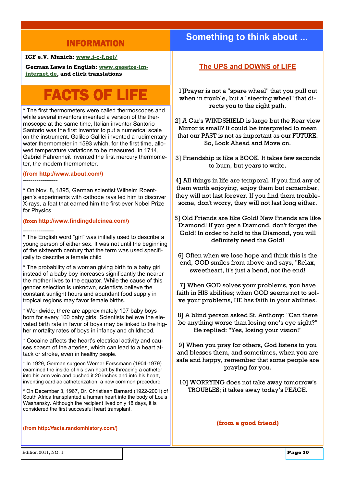### INFORMATION

**ICF e.V. Munich: www.i-c-f.net/**

**German Laws in English: www.gesetze-iminternet.de, and click translations** 

# CTS OF

\* The first thermometers were called thermoscopes and while several inventors invented a version of the thermoscope at the same time, Italian inventor Santorio Santorio was the first inventor to put a numerical scale on the instrument. Galileo Galilei invented a rudimentary water thermometer in 1593 which, for the first time, allowed temperature variations to be measured. In 1714, Gabriel Fahrenheit invented the first mercury thermometer, the modern thermometer.

### **(from http://www.about.com/)**

------------------

\* On Nov. 8, 1895, German scientist Wilhelm Roentgen's experiments with cathode rays led him to discover X-rays, a feat that earned him the first-ever Nobel Prize for Physics.

### **(from http://www.findingdulcinea.com/)**

---------------- \* The English word "girl" was initially used to describe a young person of either sex. It was not until the beginning of the sixteenth century that the term was used specifically to describe a female child

\* The probability of a woman giving birth to a baby girl instead of a baby boy increases significantly the nearer the mother lives to the equator. While the cause of this gender selection is unknown, scientists believe the constant sunlight hours and abundant food supply in tropical regions may favor female births.

\* Worldwide, there are approximately 107 baby boys born for every 100 baby girls. Scientists believe the elevated birth rate in favor of boys may be linked to the higher mortality rates of boys in infancy and childhood.

\* Cocaine affects the heart's electrical activity and causes spasm of the arteries, which can lead to a heart attack or stroke, even in healthy people.

\* In 1929, German surgeon Werner Forssmann (1904-1979) examined the inside of his own heart by threading a catheter into his arm vein and pushed it 20 inches and into his heart, inventing cardiac catheterization, a now common procedure.

\* On December 3, 1967, Dr. Christiaan Barnard (1922-2001) of South Africa transplanted a human heart into the body of Louis Washansky. Although the recipient lived only 18 days, it is considered the first successful heart transplant.

**(from http://facts.randomhistory.com/)** 

### **Something to think about ...**

### **The UPS and DOWNS of LIFE**

1]Prayer is not a "spare wheel" that you pull out when in trouble, but a "steering wheel" that directs you to the right path.

2] A Car's WINDSHIELD is large but the Rear view Mirror is small? It could be interpreted to mean that our PAST is not as important as our FUTURE. So, Look Ahead and Move on.

3] Friendship is like a BOOK. It takes few seconds to burn, but years to write.

4] All things in life are temporal. If you find any of them worth enjoying, enjoy them but remember, they will not last forever. If you find them troublesome, don't worry, they will not last long either.

5] Old Friends are like Gold! New Friends are like Diamond! If you get a Diamond, don't forget the Gold! In order to hold to the Diamond, you will definitely need the Gold!

6] Often when we lose hope and think this is the end, GOD smiles from above and says, "Relax, sweetheart, it's just a bend, not the end!

7] When GOD solves your problems, you have faith in HIS abilities; when GOD seems not to solve your problems, HE has faith in your abilities.

8] A blind person asked St. Anthony: "Can there be anything worse than losing one's eye sight?" He replied: "Yes, losing your vision!"

9] When you pray for others, God listens to you and blesses them, and sometimes, when you are safe and happy, remember that some people are praying for you.

10] WORRYING does not take away tomorrow's TROUBLES; it takes away today's PEACE.

**(from a good friend)**

Edition 2011, NO. 1 **Page 10**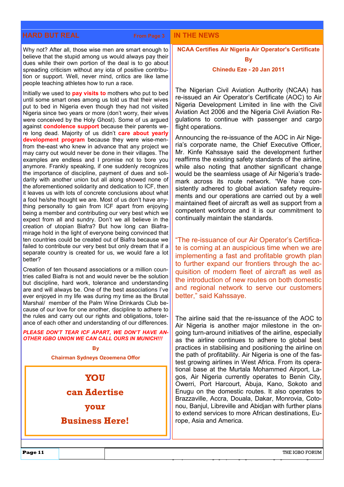**IN THE NEWS**

Why not? After all, those wise men are smart enough to believe that the stupid among us would always pay their dues while their own portion of the deal is to go about spreading criticism without any iota of positive contribution or support. Well, never mind, critics are like lame people teaching athletes how to run a race.

Initially we used to **pay visits to** mothers who put to bed until some smart ones among us told us that their wives put to bed in Nigeria even though they had not visited Nigeria since two years or more (don't worry, their wives were conceived by the Holy Ghost). Some of us argued against **condolence support** because their parents were long dead. Majority of us didn't **care about yearly development program** because they were wise-menfrom the-east who knew in advance that any project we may carry out would never be done in their villages. The examples are endless and I promise not to bore you anymore. Frankly speaking, if one suddenly recognizes the importance of discipline, payment of dues and solidarity with another union but all along showed none of the aforementioned solidarity and dedication to ICF, then it leaves us with lots of concrete conclusions about what a fool he/she thought we are. Most of us don't have anything personally to gain from ICF apart from enjoying being a member and contributing our very best which we expect from all and sundry. Don't we all believe in the creation of utopian Biafra? But how long can Biaframirage hold in the light of everyone being convinced that ten countries could be created out of Biafra because we failed to contribute our very best but only dream that if a separate country is created for us, we would fare a lot better?

Creation of ten thousand associations or a million countries called Biafra is not and would never be the solution but discipline, hard work, tolerance and understanding are and will always be. One of the best associations I've ever enjoyed in my life was during my time as the Brutal Marshal/ member of the Palm Wine Drinkards Club because of our love for one another, discipline to adhere to the rules and carry out our rights and obligations, tolerance of each other and understanding of our differences.

*PLEASE DON'T TEAR ICF APART, WE DON'T HAVE AN-OTHER IGBO UNION WE CAN CALL OURS IN MUNICH!!!* 

**By** 

**Chairman Sydneys Ozoemena Offor** 

**YOU** 

**can Adertise** 

**your** 

**Business Here!** 

**NCAA Certifies Air Nigeria Air Operator's Certificate** 

**By Chinedu Eze - 20 Jan 2011** 

The Nigerian Civil Aviation Authority (NCAA) has re-issued an Air Operator's Certificate (AOC) to Air Nigeria Development Limited in line with the Civil Aviation Act 2006 and the Nigeria Civil Aviation Regulations to continue with passenger and cargo flight operations.

Announcing the re-issuance of the AOC in Air Nigeria's corporate name, the Chief Executive Officer, Mr. Kinfe Kahssaye said the development further reaffirms the existing safety standards of the airline, while also noting that another significant change would be the seamless usage of Air Nigeria's trademark across its route network. "We have consistently adhered to global aviation safety requirements and our operations are carried out by a well maintained fleet of aircraft as well as support from a competent workforce and it is our commitment to continually maintain the standards.

"The re-issuance of our Air Operator's Certificate is coming at an auspicious time when we are implementing a fast and profitable growth plan to further expand our frontiers through the acquisition of modern fleet of aircraft as well as the introduction of new routes on both domestic and regional network to serve our customers better," said Kahssaye.

The airline said that the re-issuance of the AOC to Air Nigeria is another major milestone in the ongoing turn-around initiatives of the airline, especially as the airline continues to adhere to global best practices in stabilising and positioning the airline on the path of profitability. Air Nigeria is one of the fastest growing airlines in West Africa. From its operational base at the Murtala Mohammed Airport, Lagos, Air Nigeria currently operates to Benin City, Owerri, Port Harcourt, Abuja, Kano, Sokoto and Enugu on the domestic routes. It also operates to Brazzaville, Accra, Douala, Dakar, Monrovia, Cotonou, Banjul, Libreville and Abidjan with further plans to extend services to more African destinations, Europe, Asia and America.

… to restore the diginity of man through projecting lights and bringing cultures together.

**Page 11 THE IGBO FORUM**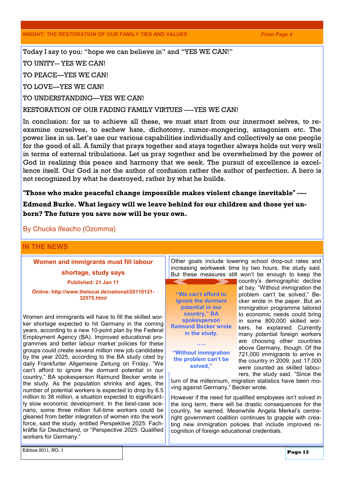Today I say to you: "hope we can believe in" and "YES WE CAN!"

TO UNITY-- YES WE CAN!

TO PEACE—YES WE CAN!

TO LOVE—YES WE CAN!

TO UNDERSTANDING—YES WE CAN!

RESTORATION OF OUR FADING FAMILY VIRTUES ----YES WE CAN!

In conclusion: for us to achieve all these, we must start from our innermost selves, to reexamine ourselves, to eschew hate, dichotomy, rumor-mongering, antagonism etc. The power lies in us. Let's use our various capabilities individually and collectively as one people for the good of all. A family that prays together and stays together always holds out very well in terms of external tribulations. Let us pray together and be overwhelmed by the power of God in realizing this peace and harmony that we seek. The pursuit of excellence is excellence itself. Our God is not the author of confusion rather the author of perfection. A hero is not recognized by what he destroyed, rather by what he builds.

"**Those who make peaceful change impossible makes violent change inevitable**" **----** 

**Edmond Burke. What legacy will we leave behind for our children and those yet unborn? The future you save now will be your own.** 

By Chucks Ifeacho (Ozomma)

### **IN THE NEWS**

### **Women and immigrants must fill labour**

**shortage, study says** 

**Published: 21 Jan 11** 

**Online: http://www.thelocal.de/national/20110121- 32575.html** 

Women and immigrants will have to fill the skilled worker shortage expected to hit Germany in the coming years, according to a new 10-point plan by the Federal Employment Agency (BA). Improved educational programmes and better labour market policies for these groups could create several million new job candidates by the year 2025, according to the BA study cited by daily Frankfurter Allgemeine Zeitung on Friday. "We can't afford to ignore the dormant potential in our country," BA spokesperson Raimund Becker wrote in the study. As the population shrinks and ages, the number of potential workers is expected to drop by 6.5 million to 38 million, a situation expected to significantly slow economic development. In the best-case scenario, some three million full-time workers could be gleaned from better integration of women into the work force, said the study, entitled Perspektive 2025: Fachkräfte für Deutschland, or "Perspective 2025: Qualified workers for Germany."

Other goals include lowering school drop-out rates and increasing workweek time by two hours, the study said. But these measures still won't be enough to keep the

**"We can't afford to ignore the dormant potential in our country," BA spokesperson Raimund Becker wrote in the study.** 

**"Without immigration the problem can't be solved,"** 

**…..** 

country's demographic decline at bay. "Without immigration the problem can't be solved," Becker wrote in the paper. But an immigration programme tailored to economic needs could bring in some 800,000 skilled workers, he explained. Currently many potential foreign workers are choosing other countries above Germany, though. Of the 721,000 immigrants to arrive in the country in 2009, just 17,000 were counted as skilled labourers, the study said. "Since the

turn of the millennium, migration statistics have been moving against Germany," Becker wrote.

However if the need for qualified employees isn't solved in the long term, there will be drastic consequences for the country, he warned. Meanwhile Angela Merkel's centreright government coalition continues to grapple with creating new immigration policies that include improved recognition of foreign educational credentials.

Edition 2011, NO. 1 **Page 12**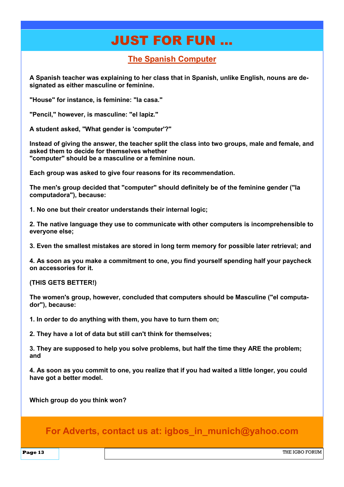# JUST FOR FUN …

### **The Spanish Computer**

**A Spanish teacher was explaining to her class that in Spanish, unlike English, nouns are designated as either masculine or feminine.** 

**"House" for instance, is feminine: "la casa."** 

**"Pencil," however, is masculine: "el lapiz."** 

**A student asked, "What gender is 'computer'?"** 

**Instead of giving the answer, the teacher split the class into two groups, male and female, and asked them to decide for themselves whether "computer" should be a masculine or a feminine noun.** 

**Each group was asked to give four reasons for its recommendation.** 

**The men's group decided that "computer" should definitely be of the feminine gender ("la computadora"), because:** 

**1. No one but their creator understands their internal logic;** 

**2. The native language they use to communicate with other computers is incomprehensible to everyone else;** 

**3. Even the smallest mistakes are stored in long term memory for possible later retrieval; and** 

**4. As soon as you make a commitment to one, you find yourself spending half your paycheck on accessories for it.** 

**(THIS GETS BETTER!)** 

**The women's group, however, concluded that computers should be Masculine ("el computador"), because:** 

**1. In order to do anything with them, you have to turn them on;** 

**2. They have a lot of data but still can't think for themselves;** 

**3. They are supposed to help you solve problems, but half the time they ARE the problem; and** 

**4. As soon as you commit to one, you realize that if you had waited a little longer, you could have got a better model.** 

**Which group do you think won?** 

### **For Adverts, contact us at: igbos\_in\_munich@yahoo.com**

**Page 13** THE IGBO FORUM